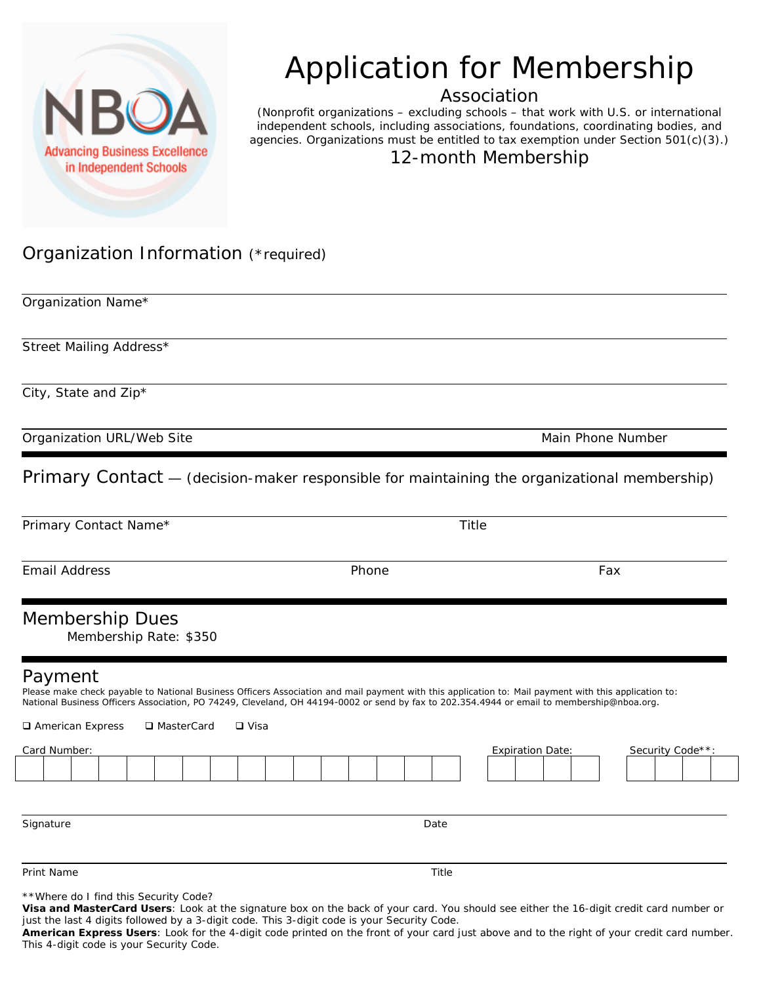

## Application for Membership

Association

(Nonprofit organizations – excluding schools – that work with U.S. or international independent schools, including associations, foundations, coordinating bodies, and agencies. Organizations must be entitled to tax exemption under Section 501(c)(3).)

12-month Membership

## Organization Information (\*required)

Organization Name\*

Street Mailing Address\*

City, State and Zip\*

Organization URL/Web Site Main Phone Number (Main Phone Number Main Phone Number  $M$ 

Primary Contact — (decision-maker responsible for maintaining the organizational membership)

Primary Contact Name\* Title Email Address Phone Fax Membership Dues Membership Rate: \$350 Payment Please make check payable to National Business Officers Association and mail payment with this application to: Mail payment with this application to: National Business Officers Association, PO 74249, Cleveland, OH 44194-0002 or send by fax to 202.354.4944 or email to membership@nboa.org. □ American Express □ MasterCard □ Visa Card Number: Expiration Date: Security Code\*\*: Signature Date Date of the Date of the Date of the Date of the Date of the Date of the Date of the Date of the

Print Name Title

\*\*Where do I find this Security Code?

**Visa and MasterCard Users**: Look at the signature box on the back of your card. You should see either the 16-digit credit card number or just the last 4 digits followed by a 3-digit code. This 3-digit code is your Security Code.

**American Express Users**: Look for the 4-digit code printed on the front of your card just above and to the right of your credit card number. This 4-digit code is your Security Code.